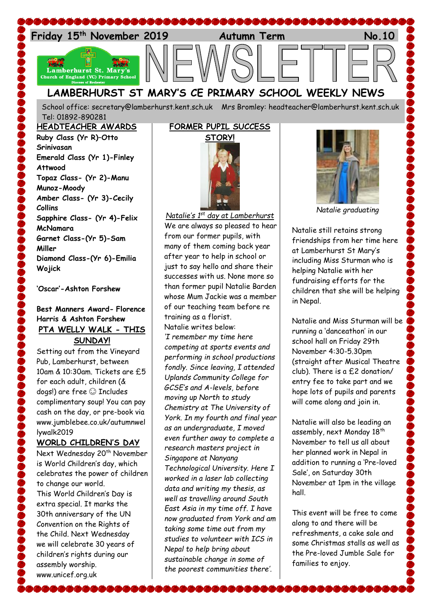

School office: [secretary@lamberhurst.kent.sch.uk](mailto:secretary@lamberhurst.kent.sch.uk) Mrs Bromley: headteacher@lamberhurst.kent.sch.uk Tel: 01892-890281

**HEADTEACHER AWARDS Ruby Class (Yr R)–Otto Srinivasan Emerald Class (Yr 1)-Finley Attwood Topaz Class- (Yr 2)-Manu Munoz-Moody Amber Class- (Yr 3)-Cecily Collins Sapphire Class- (Yr 4)-Felix McNamara Garnet Class-(Yr 5)-Sam Miller Diamond Class-(Yr 6)-Emilia Wojick**

**'Oscar'-Ashton Forshew**

### **Best Manners Award- Florence Harris & Ashton Forshew PTA WELLY WALK - THIS SUNDAY!**

Setting out from the Vineyard Pub, Lamberhurst, between 10am & 10:30am. Tickets are £5 for each adult, children (& dogs!) are free  $\odot$  Includes complimentary soup! You can pay cash on the day, or pre-book via www.jumblebee.co.uk/autumnwel lywalk2019

### **WORLD CHILDREN'S DAY**

Next Wednesday 20<sup>th</sup> November is World Children's day, which celebrates the power of children to change our world. This World Children's Day is extra special. It marks the 30th anniversary of the UN Convention on the Rights of the Child. Next Wednesday we will celebrate 30 years of children's rights during our assembly worship. www.unicef.org.uk

## **FORMER PUPIL SUCCESS**



*Natalie's 1st day at Lamberhurst* We are always so pleased to hear from our former pupils, with many of them coming back year after year to help in school or just to say hello and share their successes with us. None more so than former pupil Natalie Barden whose Mum Jackie was a member of our teaching team before re training as a florist. Natalie writes below: *'I remember my time here competing at sports events and performing in school productions fondly. Since leaving, I attended Uplands Community College for GCSE's and A-levels, before moving up North to study Chemistry at The University of York. In my fourth and final year as an undergraduate, I moved even further away to complete a research masters project in Singapore at Nanyang Technological University. Here I worked in a laser lab collecting data and writing my thesis, as well as travelling around South East Asia in my time off. I have now graduated from York and am taking some time out from my studies to volunteer with ICS in Nepal to help bring about sustainable change in some of the poorest communities there'.*



*Natalie graduating*

Natalie still retains strong friendships from her time here at Lamberhurst St Mary's including Miss Sturman who is helping Natalie with her fundraising efforts for the children that she will be helping in Nepal.

Natalie and Miss Sturman will be running a 'danceathon' in our school hall on Friday 29th November 4:30-5.30pm (straight after Musical Theatre club). There is a £2 donation/ entry fee to take part and we hope lots of pupils and parents will come along and join in.

Natalie will also be leading an assembly, next Monday 18<sup>th</sup> November to tell us all about her planned work in Nepal in addition to running a 'Pre-loved Sale', on Saturday 30th November at 1pm in the village hall.

This event will be free to come along to and there will be refreshments, a cake sale and some Christmas stalls as well as the Pre-loved Jumble Sale for families to enjoy.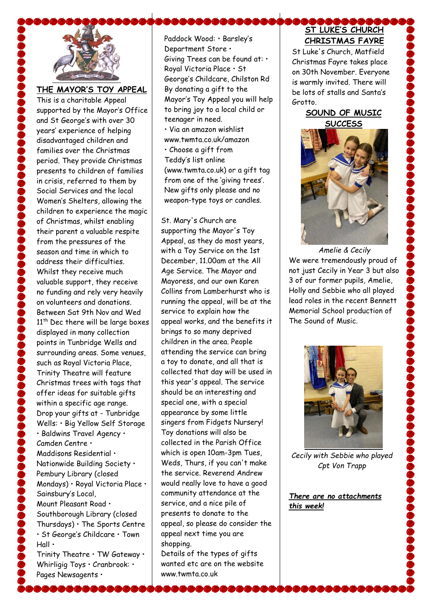

**THE MAYOR'S TOY APPEAL**

This is a charitable Appeal supported by the Mayor's Office and St George's with over 30 years' experience of helping disadvantaged children and families over the Christmas period. They provide Christmas presents to children of families in crisis, referred to them by Social Services and the local Women's Shelters, allowing the children to experience the magic of Christmas, whilst enabling their parent a valuable respite from the pressures of the season and time in which to address their difficulties. Whilst they receive much valuable support, they receive no funding and rely very heavily on volunteers and donations. Between Sat 9th Nov and Wed 11<sup>th</sup> Dec there will be large boxes displayed in many collection points in Tunbridge Wells and surrounding areas. Some venues, such as Royal Victoria Place, Trinity Theatre will feature Christmas trees with tags that offer ideas for suitable gifts within a specific age range. Drop your gifts at - Tunbridge Wells: • Big Yellow Self Storage • Baldwins Travel Agency • Camden Centre • Maddisons Residential • Nationwide Building Society • Pembury Library (closed Mondays) • Royal Victoria Place • Sainsbury's Local, Mount Pleasant Road • Southborough Library (closed Thursdays) • The Sports Centre • St George's Childcare • Town Hall • Trinity Theatre • TW Gateway •

Whirligig Toys • Cranbrook: • Pages Newsagents •

Paddock Wood: • Barsley's Department Store • Giving Trees can be found at: • Royal Victoria Place • St George's Childcare, Chilston Rd By donating a gift to the Mayor's Toy Appeal you will help to bring joy to a local child or teenager in need. • Via an amazon wishlist www.twmta.co.uk/amazon • Choose a gift from Teddy's list online (www.twmta.co.uk) or a gift tag from one of the 'giving trees'. New gifts only please and no weapon-type toys or candles.

St. Mary's Church are supporting the Mayor's Toy Appeal, as they do most years, with a Toy Service on the 1st December, 11.00am at the All Age Service. The Mayor and Mayoress, and our own Karen Collins from Lamberhurst who is running the appeal, will be at the service to explain how the appeal works, and the benefits it brings to so many deprived children in the area. People attending the service can bring a toy to donate, and all that is collected that day will be used in this year's appeal. The service should be an interesting and special one, with a special appearance by some little singers from Fidgets Nursery! Toy donations will also be collected in the Parish Office which is open 10am-3pm Tues, Weds, Thurs, if you can't make the service. Reverend Andrew would really love to have a good community attendance at the service, and a nice pile of presents to donate to the appeal, so please do consider the appeal next time you are shopping.

Details of the types of gifts wanted etc are on the website www.twmta.co.uk

# **ST LUKE'S CHURCH CHRISTMAS FAYRE**

St Luke's Church, Matfield Christmas Fayre takes place on 30th November. Everyone is warmly invited. There will be lots of stalls and Santa's Grotto.

### **SOUND OF MUSIC SUCCESS**



*Amelie & Cecily* We were tremendously proud of not just Cecily in Year 3 but also 3 of our former pupils, Amelie, Holly and Sebbie who all played lead roles in the recent Bennett Memorial School production of The Sound of Music.



*Cecily with Sebbie who played Cpt Von Trapp*

*There are no attachments this week!*